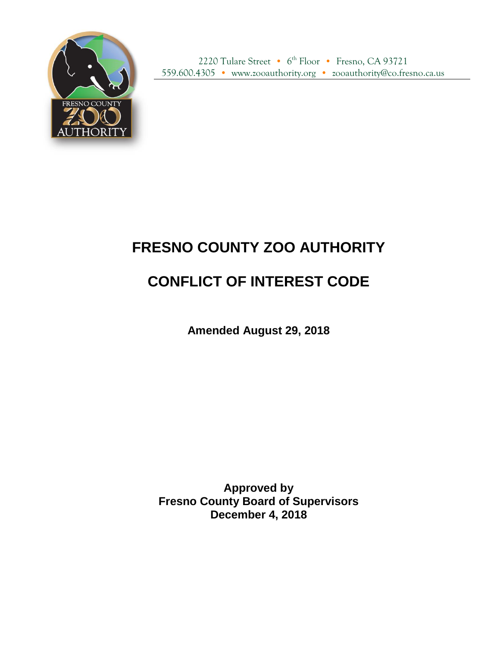

2220 Tulare Street • 6<sup>th</sup> Floor • Fresno, CA 93721 559.600.4305 • www.zooauthority.org • zooauthority@co.fresno.ca.us

## **FRESNO COUNTY ZOO AUTHORITY**

## **CONFLICT OF INTEREST CODE**

**Amended August 29, 2018**

**Approved by Fresno County Board of Supervisors December 4, 2018**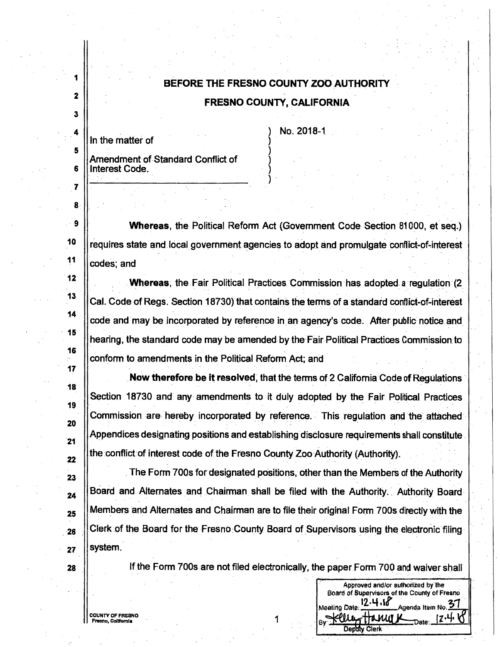## BEFORE THE FRESNO COUNTY ZOO AUTHORITY

## **FRESNO COUNTY, CALIFORNIA**

In the matter of

4

 $\overline{2}$ 

3

4

5

6

7

8

 $\overline{9}$ 

10

 $11$ 

 $12$ 

13

14

15

16

17

18

19

20

 $21$ 

22

23

24

25

 $-26$ 

27

28

No. 2018-1

Amendment of Standard Conflict of Interest Code.

Whereas, the Political Reform Act (Government Code Section 81000, et seq.) requires state and local government agencies to adopt and promulgate conflict-of-interest codes; and

Whereas, the Fair Political Practices Commission has adopted a regulation (2) Cal. Code of Regs. Section 18730) that contains the terms of a standard conflict-of-interest code and may be incorporated by reference in an agency's code. After public notice and hearing, the standard code may be amended by the Fair Political Practices Commission to conform to amendments in the Political Reform Act; and

Now therefore be it resolved, that the terms of 2 California Code of Regulations Section 18730 and any amendments to it duly adopted by the Fair Political Practices Commission are hereby incorporated by reference. This regulation and the attached Appendices designating positions and establishing disclosure requirements shall constitute the conflict of interest code of the Fresno County Zoo Authority (Authority).

The Form 700s for designated positions, other than the Members of the Authority Board and Alternates and Chairman shall be filed with the Authority. Authority Board Members and Alternates and Chairman are to file their original Form 700s directly with the Clerk of the Board for the Fresno County Board of Supervisors using the electronic filing system.

If the Form 700s are not filed electronically, the paper Form 700 and waiver shall

Approved and/or authorized by the Board of Supervisors of the County of Fresno

Agenda Item No. 37

{Z∙Y∙

12.4.18

Depaty Clerk

ИЛI

Meeting Date

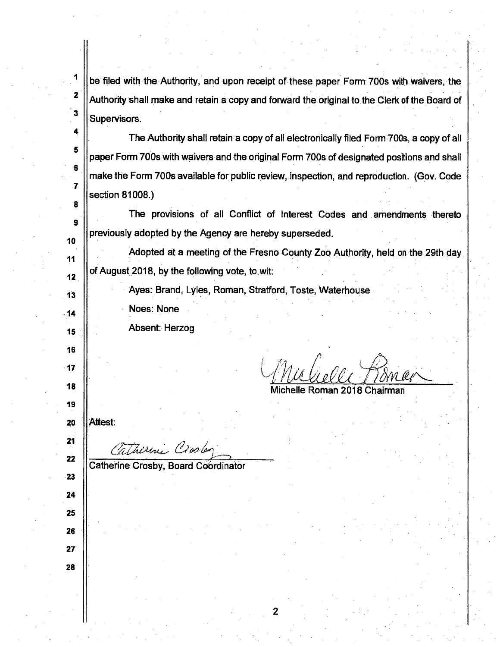**2**  be filed with the Authority, and upon receipt of these paper Form 700s with waivers, the Authority shall make and retain a copy and forward the original to. the Clerk of the Board of Supervisors.

The Authority shall retain a copy of all electronically filed Form700s, a copy of all paper Form 700s with waivers and the original Form 700s of designated positions and shall make the Form 700s available for public review, inspection, and reproduction. (Gov. Code section 81008.)

The provisions of all Conflict of Interest Codes and amendments thereto previously adopted by the Agency are hereby superseded.

Adopted at a meeting of.the Fresno County Zoo Authority, held on the 29th day.  $\begin{array}{|c|c|c|c|}\n\hline\n & 12 & \hline\n\end{array}$  of August 2018, by the following vote, to wit:

2

Ayes: Brand, Lyles, Roman, Stratford, Toste, Waterhouse

Noes: None

Absent: Herzog

Mulielle Pancer <sup>z</sup>/Z *}!J!'* 1 *u~ttet"-*

chelle Roman 2018 Chairman

**20**  Attest:

1

**3** 

**4** 

**5** 

**6** 

**7** 

**8** 

**9** 

**10** 

**11** 

**13** 

**14** 

**15** ·

**16** 

**17** 

**18** 

**19** 

**21.** 

**22** 

**23** 

Thirmi, Crosley

Catherine Crosby, Board Coordinator

**24 25** 

**26** 

**27** 

**28**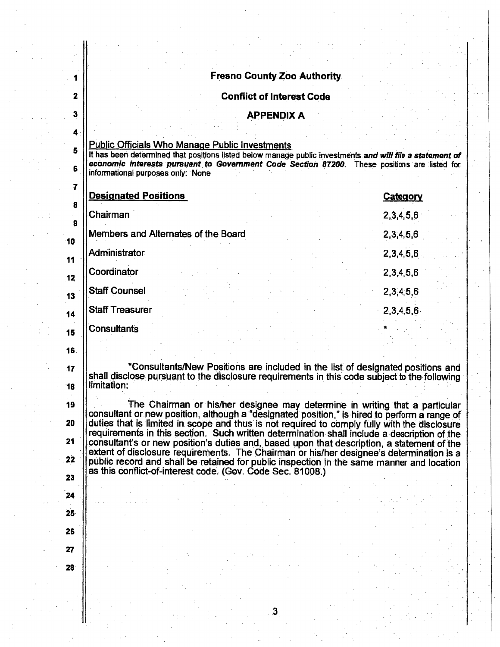| <b>Fresno County Zoo Authority</b><br><b>Conflict of Interest Code</b><br>$\mathbf{2}$<br>$\mathbf{3}$<br><b>APPENDIX A</b><br>4<br><b>Public Officials Who Manage Public Investments</b><br>5<br>It has been determined that positions listed below manage public investments and will file a statement of<br>economic interests pursuant to Government Code Section 87200. These positions are listed for<br>6<br>informational purposes only: None<br>7<br><b>Designated Positions</b><br>Category<br>8<br>Chairman<br>2,3,4,5,6<br>9<br>Members and Alternates of the Board<br>2,3,4,5,6<br>$-10$<br>Administrator<br>2,3,4,5,6<br>11<br>Coordinator<br>2, 3, 4, 5, 6<br>$-12$<br><b>Staff Counsel</b><br>2,3,4,5,6<br>13<br><b>Staff Treasurer</b><br>2,3,4,5,6<br>14<br><b>Consultants</b><br>15<br>16.<br>*Consultants/New Positions are included in the list of designated positions and<br>17<br>shall disclose pursuant to the disclosure requirements in this code subject to the following<br>limitation:<br>18<br>The Chairman or his/her designee may determine in writing that a particular<br>19<br>consultant or new position, although a "designated position," is hired to perform a range of<br>20<br>duties that is limited in scope and thus is not required to comply fully with the disclosure<br>requirements in this section. Such written determination shall include a description of the<br>21<br>consultant's or new position's duties and, based upon that description, a statement of the<br>extent of disclosure requirements. The Chairman or his/her designee's determination is a<br>22<br>public record and shall be retained for public inspection in the same manner and location<br>as this conflict-of-interest code. (Gov. Code Sec. 81008.)<br>23<br>24<br>25 <sub>2</sub><br>26<br>27<br>28 |  |  |
|-----------------------------------------------------------------------------------------------------------------------------------------------------------------------------------------------------------------------------------------------------------------------------------------------------------------------------------------------------------------------------------------------------------------------------------------------------------------------------------------------------------------------------------------------------------------------------------------------------------------------------------------------------------------------------------------------------------------------------------------------------------------------------------------------------------------------------------------------------------------------------------------------------------------------------------------------------------------------------------------------------------------------------------------------------------------------------------------------------------------------------------------------------------------------------------------------------------------------------------------------------------------------------------------------------------------------------------------------------------------------------------------------------------------------------------------------------------------------------------------------------------------------------------------------------------------------------------------------------------------------------------------------------------------------------------------------------------------------------------------------------------------------------------------------------------------------------------------|--|--|
|                                                                                                                                                                                                                                                                                                                                                                                                                                                                                                                                                                                                                                                                                                                                                                                                                                                                                                                                                                                                                                                                                                                                                                                                                                                                                                                                                                                                                                                                                                                                                                                                                                                                                                                                                                                                                                         |  |  |
|                                                                                                                                                                                                                                                                                                                                                                                                                                                                                                                                                                                                                                                                                                                                                                                                                                                                                                                                                                                                                                                                                                                                                                                                                                                                                                                                                                                                                                                                                                                                                                                                                                                                                                                                                                                                                                         |  |  |
|                                                                                                                                                                                                                                                                                                                                                                                                                                                                                                                                                                                                                                                                                                                                                                                                                                                                                                                                                                                                                                                                                                                                                                                                                                                                                                                                                                                                                                                                                                                                                                                                                                                                                                                                                                                                                                         |  |  |
|                                                                                                                                                                                                                                                                                                                                                                                                                                                                                                                                                                                                                                                                                                                                                                                                                                                                                                                                                                                                                                                                                                                                                                                                                                                                                                                                                                                                                                                                                                                                                                                                                                                                                                                                                                                                                                         |  |  |
|                                                                                                                                                                                                                                                                                                                                                                                                                                                                                                                                                                                                                                                                                                                                                                                                                                                                                                                                                                                                                                                                                                                                                                                                                                                                                                                                                                                                                                                                                                                                                                                                                                                                                                                                                                                                                                         |  |  |
|                                                                                                                                                                                                                                                                                                                                                                                                                                                                                                                                                                                                                                                                                                                                                                                                                                                                                                                                                                                                                                                                                                                                                                                                                                                                                                                                                                                                                                                                                                                                                                                                                                                                                                                                                                                                                                         |  |  |
|                                                                                                                                                                                                                                                                                                                                                                                                                                                                                                                                                                                                                                                                                                                                                                                                                                                                                                                                                                                                                                                                                                                                                                                                                                                                                                                                                                                                                                                                                                                                                                                                                                                                                                                                                                                                                                         |  |  |
|                                                                                                                                                                                                                                                                                                                                                                                                                                                                                                                                                                                                                                                                                                                                                                                                                                                                                                                                                                                                                                                                                                                                                                                                                                                                                                                                                                                                                                                                                                                                                                                                                                                                                                                                                                                                                                         |  |  |
|                                                                                                                                                                                                                                                                                                                                                                                                                                                                                                                                                                                                                                                                                                                                                                                                                                                                                                                                                                                                                                                                                                                                                                                                                                                                                                                                                                                                                                                                                                                                                                                                                                                                                                                                                                                                                                         |  |  |
|                                                                                                                                                                                                                                                                                                                                                                                                                                                                                                                                                                                                                                                                                                                                                                                                                                                                                                                                                                                                                                                                                                                                                                                                                                                                                                                                                                                                                                                                                                                                                                                                                                                                                                                                                                                                                                         |  |  |
|                                                                                                                                                                                                                                                                                                                                                                                                                                                                                                                                                                                                                                                                                                                                                                                                                                                                                                                                                                                                                                                                                                                                                                                                                                                                                                                                                                                                                                                                                                                                                                                                                                                                                                                                                                                                                                         |  |  |
|                                                                                                                                                                                                                                                                                                                                                                                                                                                                                                                                                                                                                                                                                                                                                                                                                                                                                                                                                                                                                                                                                                                                                                                                                                                                                                                                                                                                                                                                                                                                                                                                                                                                                                                                                                                                                                         |  |  |
|                                                                                                                                                                                                                                                                                                                                                                                                                                                                                                                                                                                                                                                                                                                                                                                                                                                                                                                                                                                                                                                                                                                                                                                                                                                                                                                                                                                                                                                                                                                                                                                                                                                                                                                                                                                                                                         |  |  |
|                                                                                                                                                                                                                                                                                                                                                                                                                                                                                                                                                                                                                                                                                                                                                                                                                                                                                                                                                                                                                                                                                                                                                                                                                                                                                                                                                                                                                                                                                                                                                                                                                                                                                                                                                                                                                                         |  |  |
|                                                                                                                                                                                                                                                                                                                                                                                                                                                                                                                                                                                                                                                                                                                                                                                                                                                                                                                                                                                                                                                                                                                                                                                                                                                                                                                                                                                                                                                                                                                                                                                                                                                                                                                                                                                                                                         |  |  |
|                                                                                                                                                                                                                                                                                                                                                                                                                                                                                                                                                                                                                                                                                                                                                                                                                                                                                                                                                                                                                                                                                                                                                                                                                                                                                                                                                                                                                                                                                                                                                                                                                                                                                                                                                                                                                                         |  |  |
|                                                                                                                                                                                                                                                                                                                                                                                                                                                                                                                                                                                                                                                                                                                                                                                                                                                                                                                                                                                                                                                                                                                                                                                                                                                                                                                                                                                                                                                                                                                                                                                                                                                                                                                                                                                                                                         |  |  |
|                                                                                                                                                                                                                                                                                                                                                                                                                                                                                                                                                                                                                                                                                                                                                                                                                                                                                                                                                                                                                                                                                                                                                                                                                                                                                                                                                                                                                                                                                                                                                                                                                                                                                                                                                                                                                                         |  |  |
|                                                                                                                                                                                                                                                                                                                                                                                                                                                                                                                                                                                                                                                                                                                                                                                                                                                                                                                                                                                                                                                                                                                                                                                                                                                                                                                                                                                                                                                                                                                                                                                                                                                                                                                                                                                                                                         |  |  |
|                                                                                                                                                                                                                                                                                                                                                                                                                                                                                                                                                                                                                                                                                                                                                                                                                                                                                                                                                                                                                                                                                                                                                                                                                                                                                                                                                                                                                                                                                                                                                                                                                                                                                                                                                                                                                                         |  |  |
|                                                                                                                                                                                                                                                                                                                                                                                                                                                                                                                                                                                                                                                                                                                                                                                                                                                                                                                                                                                                                                                                                                                                                                                                                                                                                                                                                                                                                                                                                                                                                                                                                                                                                                                                                                                                                                         |  |  |
|                                                                                                                                                                                                                                                                                                                                                                                                                                                                                                                                                                                                                                                                                                                                                                                                                                                                                                                                                                                                                                                                                                                                                                                                                                                                                                                                                                                                                                                                                                                                                                                                                                                                                                                                                                                                                                         |  |  |
|                                                                                                                                                                                                                                                                                                                                                                                                                                                                                                                                                                                                                                                                                                                                                                                                                                                                                                                                                                                                                                                                                                                                                                                                                                                                                                                                                                                                                                                                                                                                                                                                                                                                                                                                                                                                                                         |  |  |
|                                                                                                                                                                                                                                                                                                                                                                                                                                                                                                                                                                                                                                                                                                                                                                                                                                                                                                                                                                                                                                                                                                                                                                                                                                                                                                                                                                                                                                                                                                                                                                                                                                                                                                                                                                                                                                         |  |  |
|                                                                                                                                                                                                                                                                                                                                                                                                                                                                                                                                                                                                                                                                                                                                                                                                                                                                                                                                                                                                                                                                                                                                                                                                                                                                                                                                                                                                                                                                                                                                                                                                                                                                                                                                                                                                                                         |  |  |
|                                                                                                                                                                                                                                                                                                                                                                                                                                                                                                                                                                                                                                                                                                                                                                                                                                                                                                                                                                                                                                                                                                                                                                                                                                                                                                                                                                                                                                                                                                                                                                                                                                                                                                                                                                                                                                         |  |  |
|                                                                                                                                                                                                                                                                                                                                                                                                                                                                                                                                                                                                                                                                                                                                                                                                                                                                                                                                                                                                                                                                                                                                                                                                                                                                                                                                                                                                                                                                                                                                                                                                                                                                                                                                                                                                                                         |  |  |
|                                                                                                                                                                                                                                                                                                                                                                                                                                                                                                                                                                                                                                                                                                                                                                                                                                                                                                                                                                                                                                                                                                                                                                                                                                                                                                                                                                                                                                                                                                                                                                                                                                                                                                                                                                                                                                         |  |  |
|                                                                                                                                                                                                                                                                                                                                                                                                                                                                                                                                                                                                                                                                                                                                                                                                                                                                                                                                                                                                                                                                                                                                                                                                                                                                                                                                                                                                                                                                                                                                                                                                                                                                                                                                                                                                                                         |  |  |

.3

t,